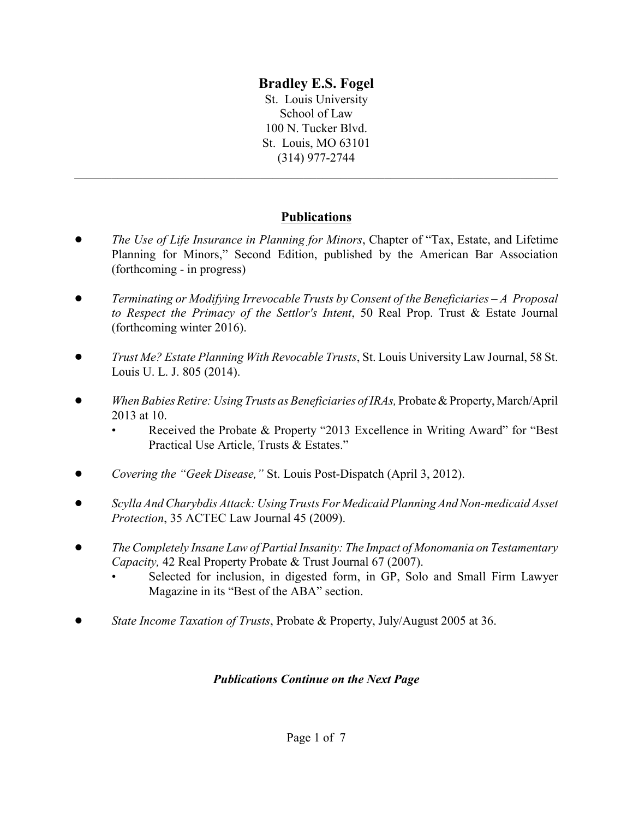# **Bradley E.S. Fogel**

St. Louis University School of Law 100 N. Tucker Blvd. St. Louis, MO 63101 (314) 977-2744

## **Publications**

\_\_\_\_\_\_\_\_\_\_\_\_\_\_\_\_\_\_\_\_\_\_\_\_\_\_\_\_\_\_\_\_\_\_\_\_\_\_\_\_\_\_\_\_\_\_\_\_\_\_\_\_\_\_\_\_\_\_\_\_\_\_\_\_\_\_\_\_\_\_\_\_\_\_\_\_\_\_

- ! *The Use of Life Insurance in Planning for Minors*, Chapter of "Tax, Estate, and Lifetime Planning for Minors," Second Edition, published by the American Bar Association (forthcoming - in progress)
- ! *Terminating or Modifying Irrevocable Trusts by Consent of the Beneficiaries A Proposal to Respect the Primacy of the Settlor's Intent*, 50 Real Prop. Trust & Estate Journal (forthcoming winter 2016).
- ! *Trust Me? Estate Planning With Revocable Trusts*, St. Louis University Law Journal, 58 St. Louis U. L. J. 805 (2014).
- ! *When Babies Retire: Using Trusts as Beneficiaries of IRAs,* Probate & Property, March/April 2013 at 10.
	- Received the Probate & Property "2013 Excellence in Writing Award" for "Best Practical Use Article, Trusts & Estates."
- ! *Covering the "Geek Disease,"* St. Louis Post-Dispatch (April 3, 2012).
- ! *Scylla And Charybdis Attack: Using Trusts For Medicaid Planning And Non-medicaid Asset Protection*, 35 ACTEC Law Journal 45 (2009).
- ! *The Completely Insane Law of Partial Insanity: The Impact of Monomania on Testamentary Capacity,* 42 Real Property Probate & Trust Journal 67 (2007).
	- Selected for inclusion, in digested form, in GP, Solo and Small Firm Lawyer Magazine in its "Best of the ABA" section.
- ! *State Income Taxation of Trusts*, Probate & Property, July/August 2005 at 36.

## *Publications Continue on the Next Page*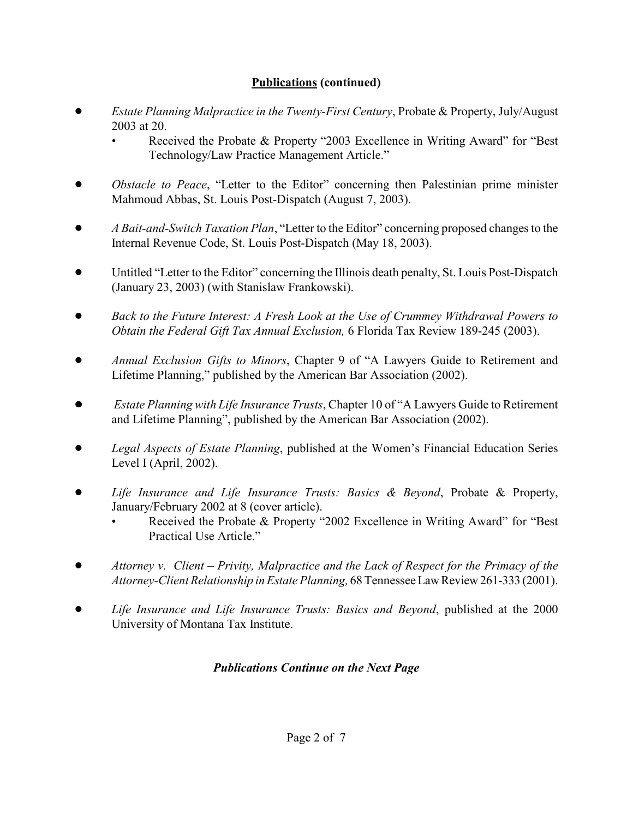## **Publications (continued)**

- ! *Estate Planning Malpractice in the Twenty-First Century*, Probate & Property, July/August 2003 at 20.
	- Received the Probate & Property "2003 Excellence in Writing Award" for "Best Technology/Law Practice Management Article."
- *Obstacle to Peace, "Letter to the Editor" concerning then Palestinian prime minister* Mahmoud Abbas, St. Louis Post-Dispatch (August 7, 2003).
- ! *A Bait-and-Switch Taxation Plan*, "Letter to the Editor" concerning proposed changes to the Internal Revenue Code, St. Louis Post-Dispatch (May 18, 2003).
- Untitled "Letter to the Editor" concerning the Illinois death penalty, St. Louis Post-Dispatch (January 23, 2003) (with Stanislaw Frankowski).
- ! *Back to the Future Interest: A Fresh Look at the Use of Crummey Withdrawal Powers to Obtain the Federal Gift Tax Annual Exclusion,* 6 Florida Tax Review 189-245 (2003).
- ! *Annual Exclusion Gifts to Minors*, Chapter 9 of "A Lawyers Guide to Retirement and Lifetime Planning," published by the American Bar Association (2002).
- ! *Estate Planning with Life Insurance Trusts*, Chapter 10 of "A Lawyers Guide to Retirement and Lifetime Planning", published by the American Bar Association (2002).
- *Legal Aspects of Estate Planning*, published at the Women's Financial Education Series Level I (April, 2002).
- ! *Life Insurance and Life Insurance Trusts: Basics & Beyond*, Probate & Property, January/February 2002 at 8 (cover article).
	- Received the Probate & Property "2002 Excellence in Writing Award" for "Best" Practical Use Article."
- ! *Attorney v. Client Privity, Malpractice and the Lack of Respect for the Primacy of the Attorney-Client Relationship in Estate Planning,* 68 Tennessee Law Review 261-333 (2001).
- ! *Life Insurance and Life Insurance Trusts: Basics and Beyond*, published at the 2000 University of Montana Tax Institute.

## *Publications Continue on the Next Page*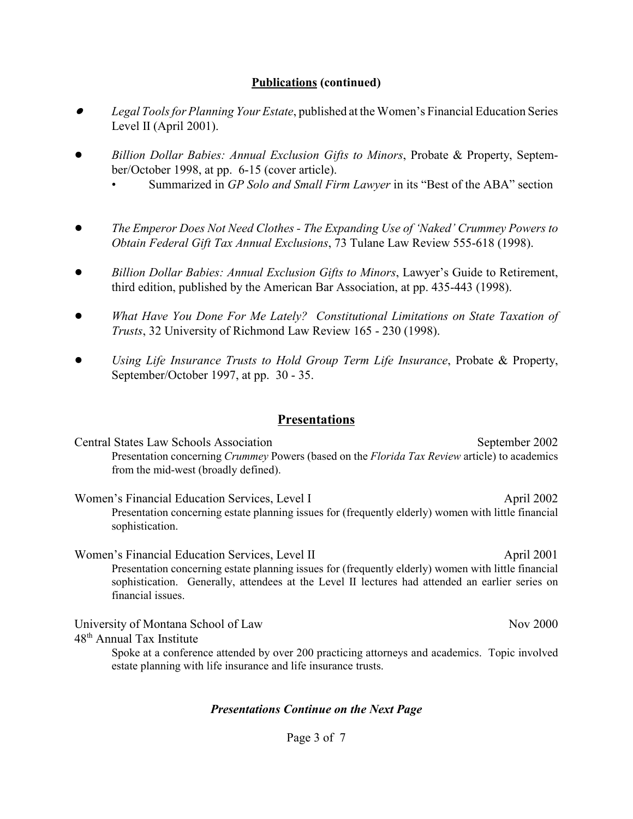#### **Publications (continued)**

- $\bullet$  *Legal Tools for Planning Your Estate*, published at the Women's Financial Education Series Level II (April 2001).
- ! *Billion Dollar Babies: Annual Exclusion Gifts to Minors*, Probate & Property, September/October 1998, at pp. 6-15 (cover article).
	- Summarized in *GP Solo and Small Firm Lawyer* in its "Best of the ABA" section
- ! *The Emperor Does Not Need Clothes The Expanding Use of 'Naked' Crummey Powers to Obtain Federal Gift Tax Annual Exclusions*, 73 Tulane Law Review 555-618 (1998).
- ! *Billion Dollar Babies: Annual Exclusion Gifts to Minors*, Lawyer's Guide to Retirement, third edition, published by the American Bar Association, at pp. 435-443 (1998).
- ! *What Have You Done For Me Lately? Constitutional Limitations on State Taxation of Trusts*, 32 University of Richmond Law Review 165 - 230 (1998).
- ! *Using Life Insurance Trusts to Hold Group Term Life Insurance*, Probate & Property, September/October 1997, at pp. 30 - 35.

#### **Presentations**

Central States Law Schools Association September 2002 Presentation concerning *Crummey* Powers (based on the *Florida Tax Review* article) to academics from the mid-west (broadly defined).

Women's Financial Education Services, Level I April 2002 Presentation concerning estate planning issues for (frequently elderly) women with little financial sophistication.

Women's Financial Education Services, Level II April 2001 Presentation concerning estate planning issues for (frequently elderly) women with little financial sophistication. Generally, attendees at the Level II lectures had attended an earlier series on financial issues.

University of Montana School of Law Nov 2000

48th Annual Tax Institute

Spoke at a conference attended by over 200 practicing attorneys and academics. Topic involved estate planning with life insurance and life insurance trusts.

#### *Presentations Continue on the Next Page*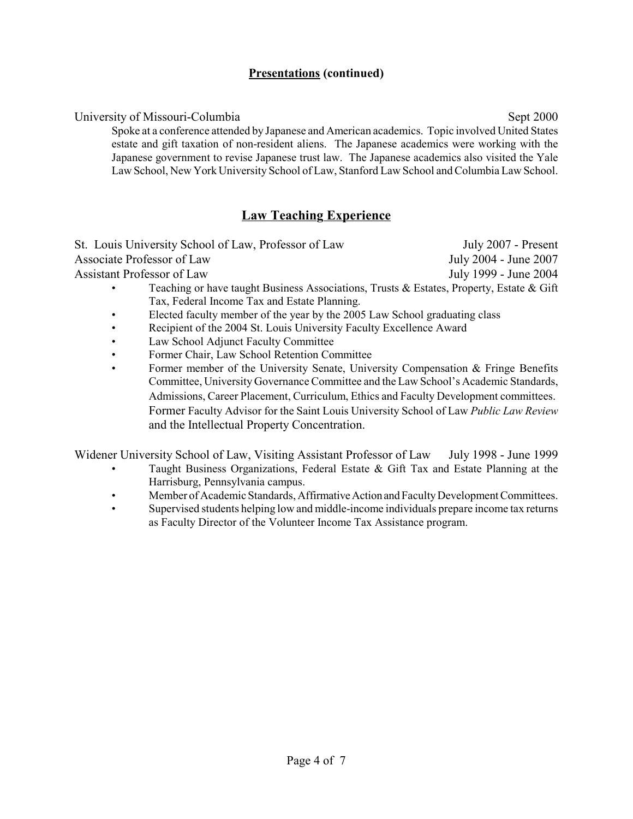#### **Presentations (continued)**

University of Missouri-Columbia Sept 2000 Spoke at a conference attended by Japanese and American academics. Topic involved United States estate and gift taxation of non-resident aliens. The Japanese academics were working with the Japanese government to revise Japanese trust law. The Japanese academics also visited the Yale Law School, New York University School of Law, Stanford Law School and Columbia Law School.

# **Law Teaching Experience**

St. Louis University School of Law, Professor of Law July 2007 - Present Associate Professor of Law July 2004 - June 2007 Assistant Professor of Law July 1999 - June 2004

- Teaching or have taught Business Associations, Trusts & Estates, Property, Estate & Gift Tax, Federal Income Tax and Estate Planning.
- Elected faculty member of the year by the 2005 Law School graduating class
- Recipient of the 2004 St. Louis University Faculty Excellence Award
- Law School Adjunct Faculty Committee
- Former Chair, Law School Retention Committee
- Former member of the University Senate, University Compensation & Fringe Benefits Committee, University Governance Committee and the Law School's Academic Standards, Admissions, Career Placement, Curriculum, Ethics and Faculty Development committees. Former Faculty Advisor for the Saint Louis University School of Law *Public Law Review* and the Intellectual Property Concentration.

Widener University School of Law, Visiting Assistant Professor of Law July 1998 - June 1999

- Taught Business Organizations, Federal Estate  $\&$  Gift Tax and Estate Planning at the Harrisburg, Pennsylvania campus.
- Member of Academic Standards, Affirmative Action and Faculty Development Committees.
- Supervised students helping low and middle-income individuals prepare income tax returns as Faculty Director of the Volunteer Income Tax Assistance program.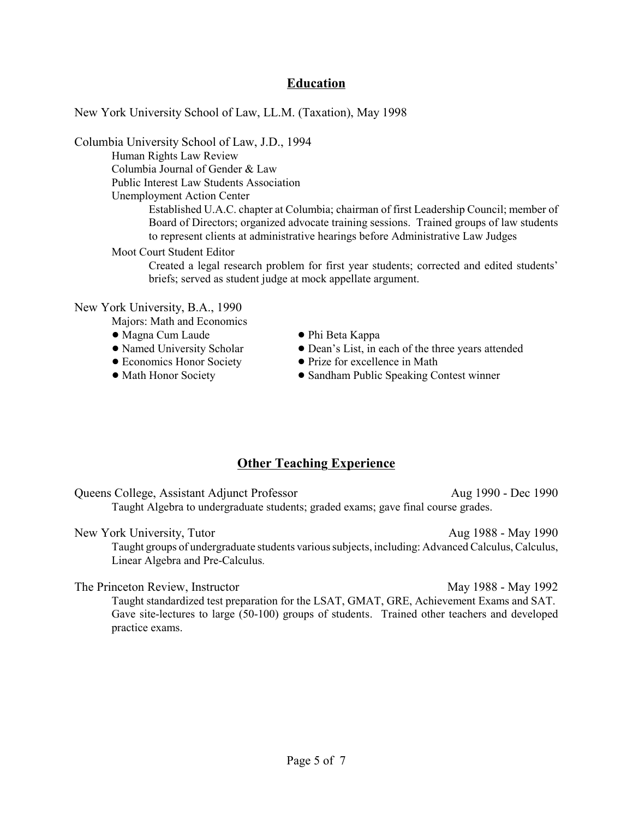## **Education**

New York University School of Law, LL.M. (Taxation), May 1998

Columbia University School of Law, J.D., 1994

Human Rights Law Review Columbia Journal of Gender & Law Public Interest Law Students Association Unemployment Action Center

> Established U.A.C. chapter at Columbia; chairman of first Leadership Council; member of Board of Directors; organized advocate training sessions. Trained groups of law students to represent clients at administrative hearings before Administrative Law Judges

#### Moot Court Student Editor

Created a legal research problem for first year students; corrected and edited students' briefs; served as student judge at mock appellate argument.

#### New York University, B.A., 1990

Majors: Math and Economics

- 
- ! Magna Cum Laude ! Phi Beta Kappa
- 
- 
- 
- Dean's List, in each of the three years attended
- Economics Honor Society Prize for excellence in Math
- Math Honor Society ... Sandham Public Speaking Contest winner

## **Other Teaching Experience**

Queens College, Assistant Adjunct Professor Aug 1990 - Dec 1990 Taught Algebra to undergraduate students; graded exams; gave final course grades.

New York University, Tutor Aug 1988 - May 1990 Taught groups of undergraduate students various subjects, including: Advanced Calculus, Calculus, Linear Algebra and Pre-Calculus.

#### The Princeton Review, Instructor May 1988 - May 1992

Taught standardized test preparation for the LSAT, GMAT, GRE, Achievement Exams and SAT. Gave site-lectures to large (50-100) groups of students. Trained other teachers and developed practice exams.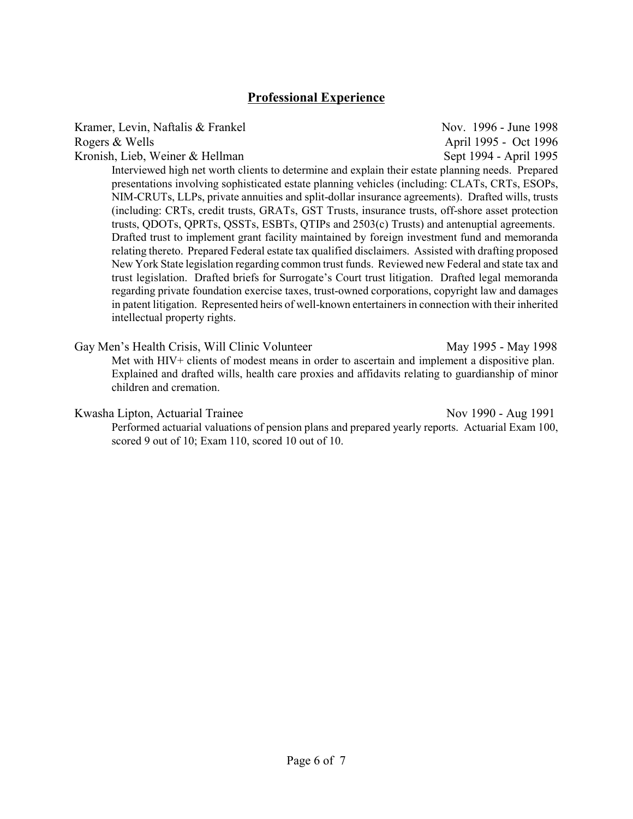## **Professional Experience**

Kramer, Levin, Naftalis & Frankel Nov. 1996 - June 1998 Rogers & Wells **April 1995** - Oct 1996 Kronish, Lieb, Weiner & Hellman Sept 1994 - April 1995 Interviewed high net worth clients to determine and explain their estate planning needs. Prepared presentations involving sophisticated estate planning vehicles (including: CLATs, CRTs, ESOPs, NIM-CRUTs, LLPs, private annuities and split-dollar insurance agreements). Drafted wills, trusts (including: CRTs, credit trusts, GRATs, GST Trusts, insurance trusts, off-shore asset protection trusts, QDOTs, QPRTs, QSSTs, ESBTs, QTIPs and 2503(c) Trusts) and antenuptial agreements.

Drafted trust to implement grant facility maintained by foreign investment fund and memoranda relating thereto. Prepared Federal estate tax qualified disclaimers. Assisted with drafting proposed New York State legislation regarding common trust funds. Reviewed new Federal and state tax and trust legislation. Drafted briefs for Surrogate's Court trust litigation. Drafted legal memoranda regarding private foundation exercise taxes, trust-owned corporations, copyright law and damages in patent litigation. Represented heirs of well-known entertainers in connection with their inherited intellectual property rights.

Gay Men's Health Crisis, Will Clinic Volunteer May 1995 - May 1998 Met with HIV+ clients of modest means in order to ascertain and implement a dispositive plan. Explained and drafted wills, health care proxies and affidavits relating to guardianship of minor children and cremation.

#### Kwasha Lipton, Actuarial Trainee Nov 1990 - Aug 1991

Performed actuarial valuations of pension plans and prepared yearly reports. Actuarial Exam 100, scored 9 out of 10; Exam 110, scored 10 out of 10.